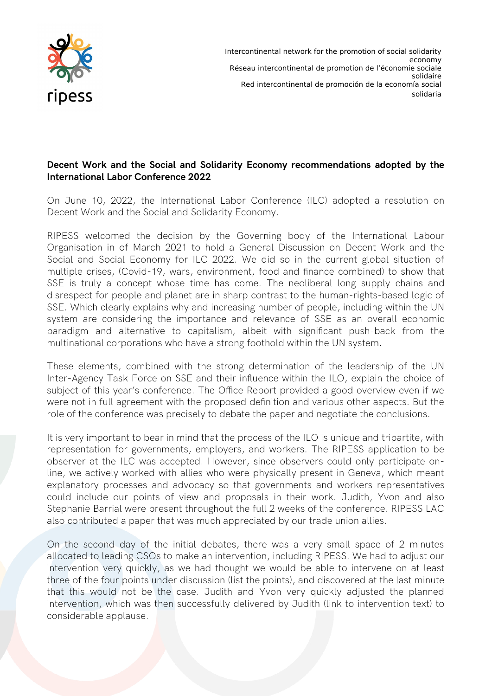

Intercontinental network for the promotion of social solidarity economy Réseau intercontinental de promotion de l'économie sociale solidaire Red intercontinental de promoción de la economía social solidaria

## **Decent Work and the Social and Solidarity Economy recommendations adopted by the International Labor Conference 2022**

On June 10, 2022, the International Labor Conference (ILC) adopted a resolution on Decent Work and the Social and Solidarity Economy.

RIPESS welcomed the decision by the Governing body of the International Labour Organisation in of March 2021 to hold a General Discussion on Decent Work and the Social and Social Economy for ILC 2022. We did so in the current global situation of multiple crises, (Covid-19, wars, environment, food and finance combined) to show that SSE is truly a concept whose time has come. The neoliberal long supply chains and disrespect for people and planet are in sharp contrast to the human-rights-based logic of SSE. Which clearly explains why and increasing number of people, including within the UN system are considering the importance and relevance of SSE as an overall economic paradigm and alternative to capitalism, albeit with significant push-back from the multinational corporations who have a strong foothold within the UN system.

These elements, combined with the strong determination of the leadership of the UN Inter-Agency Task Force on SSE and their influence within the ILO, explain the choice of subject of this year's conference. The Office Report provided a good overview even if we were not in full agreement with the proposed definition and various other aspects. But the role of the conference was precisely to debate the paper and negotiate the conclusions.

It is very important to bear in mind that the process of the ILO is unique and tripartite, with representation for governments, employers, and workers. The RIPESS application to be observer at the ILC was accepted. However, since observers could only participate online, we actively worked with allies who were physically present in Geneva, which meant explanatory processes and advocacy so that governments and workers representatives could include our points of view and proposals in their work. Judith, Yvon and also Stephanie Barrial were present throughout the full 2 weeks of the conference. RIPESS LAC also contributed a paper that was much appreciated by our trade union allies.

On the second day of the initial debates, there was a very small space of 2 minutes allocated to leading CSOs to make an intervention, including RIPESS. We had to adjust our intervention very quickly, as we had thought we would be able to intervene on at least three of the four points under discussion (list the points), and discovered at the last minute that this would not be the case. Judith and Yvon very quickly adjusted the planned intervention, which was then successfully delivered by Judith (link to intervention text) to considerable applause.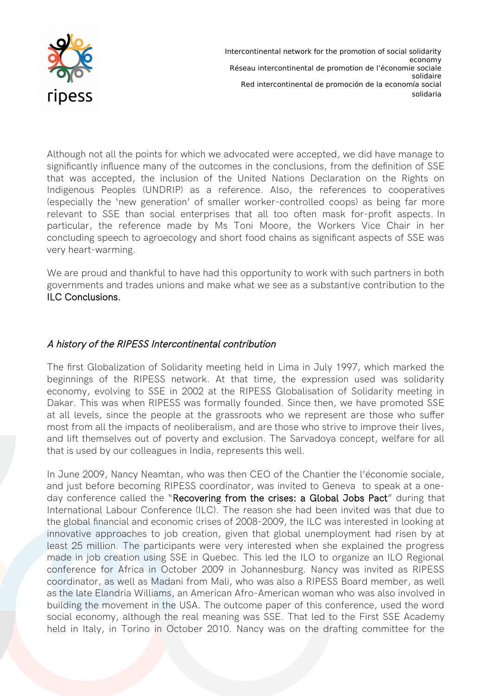

Intercontinental network for the promotion of social solidarity economy Réseau intercontinental de promotion de l'économie sociale solidaire Red intercontinental de promoción de la economía social solidaria

Although not all the points for which we advocated were accepted, we did have manage to significantly influence many of the outcomes in the conclusions, from the definition of SSE that was accepted, the inclusion of the United Nations Declaration on the Rights on Indigenous Peoples (UNDRIP) as a reference. Also, the references to cooperatives (especially the 'new generation' of smaller worker-controlled coops) as being far more relevant to SSE than social enterprises that all too often mask for-profit aspects. In particular, the reference made by Ms Toni Moore, the Workers Vice Chair in her concluding speech to agroecology and short food chains as significant aspects of SSE was very heart-warming.

We are proud and thankful to have had this opportunity to work with such partners in both governments and trades unions and make what we see as a substantive contribution to the  [ILC Conclusions .](https://www.ilo.org/ilc/ILCSessions/110/reports/records/WCMS_848073/lang--en/index.htm)

## A history of the RIPESS Intercontinental contribution

The first Globalization of Solidarity meeting held in Lima in July 1997, which marked the beginnings of the RIPESS network. At that time, the expression used was solidarity economy, evolving to SSE in 2002 at the RIPESS Globalisation of Solidarity meeting in Dakar. This was when RIPESS was formally founded. Since then, we have promoted SSE at all levels, since the people at the grassroots who we represent are those who suffer most from all the impacts of neoliberalism, and are those who strive to improve their lives, and lift themselves out of poverty and exclusion. The Sarvadoya concept, welfare for all that is used by our colleagues in India, represents this well.

In June 2009, Nancy Neamtan, who was then CEO of the Chantier the l'économie sociale, and just before becoming RIPESS coordinator, was invited to Geneva to speak at a one-day conference called the "[Recovering from the crises: a Global Jobs Pact](https://www.ilo.org/ilc/ILCSessions/previous-sessions/98thSession/lang--en/index.htm)" during that International Labour Conference (ILC). The reason she had been invited was that due to the global financial and economic crises of 2008-2009, the ILC was interested in looking at innovative approaches to job creation, given that global unemployment had risen by at least 25 million. The participants were very interested when she explained the progress made in job creation using SSE in Quebec. This led the ILO to organize an ILO Regional conference for Africa in October 2009 in Johannesburg. Nancy was invited as RIPESS coordinator, as well as Madani from Mali, who was also a RIPESS Board member, as well as the late Elandria Williams, an American Afro-American woman who was also involved in building the movement in the USA. The outcome paper of this conference, used the word social economy, although the real meaning was SSE. That led to the First SSE Academy held in Italy, in Torino in October 2010. Nancy was on the drafting committee for the